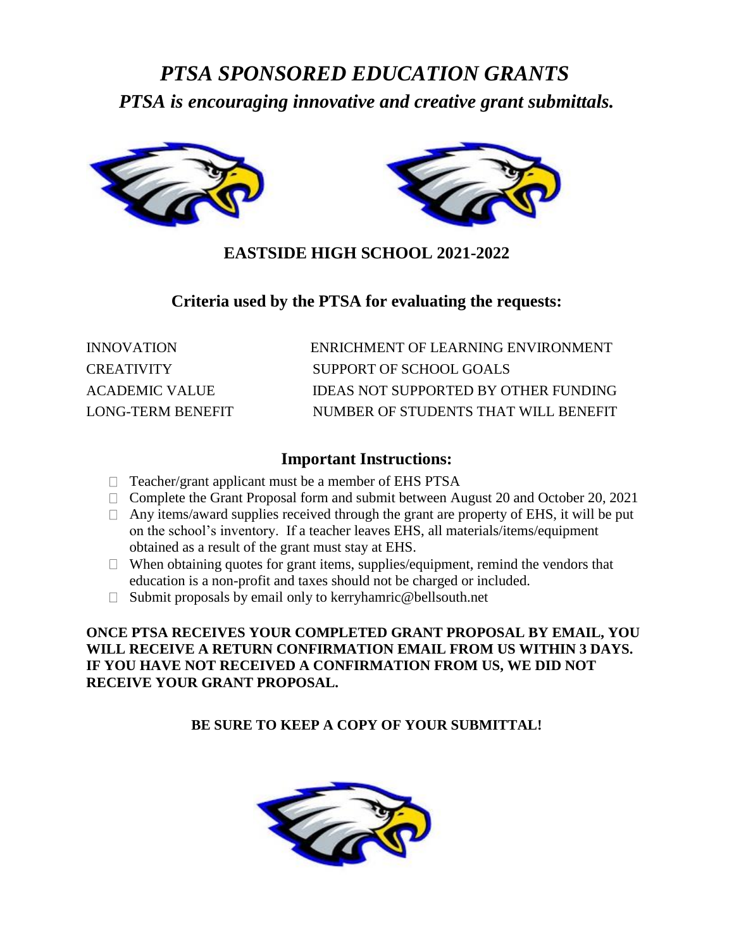# *PTSA SPONSORED EDUCATION GRANTS PTSA is encouraging innovative and creative grant submittals.*



## **EASTSIDE HIGH SCHOOL 2021-2022**

## **Criteria used by the PTSA for evaluating the requests:**

| INNOVATION        | ENRICHMENT OF LEARNING ENVIRONMENT   |
|-------------------|--------------------------------------|
| CREATIVITY        | SUPPORT OF SCHOOL GOALS              |
| ACADEMIC VALUE    | IDEAS NOT SUPPORTED BY OTHER FUNDING |
| LONG-TERM BENEFIT | NUMBER OF STUDENTS THAT WILL BENEFIT |

## **Important Instructions:**

- $\Box$  Teacher/grant applicant must be a member of EHS PTSA
- $\Box$  Complete the Grant Proposal form and submit between August 20 and October 20, 2021
- $\Box$  Any items/award supplies received through the grant are property of EHS, it will be put on the school's inventory. If a teacher leaves EHS, all materials/items/equipment obtained as a result of the grant must stay at EHS.
- $\Box$  When obtaining quotes for grant items, supplies/equipment, remind the vendors that education is a non-profit and taxes should not be charged or included.
- $\Box$  Submit proposals by email only to kerryhamric@bellsouth.net

#### **ONCE PTSA RECEIVES YOUR COMPLETED GRANT PROPOSAL BY EMAIL, YOU WILL RECEIVE A RETURN CONFIRMATION EMAIL FROM US WITHIN 3 DAYS. IF YOU HAVE NOT RECEIVED A CONFIRMATION FROM US, WE DID NOT RECEIVE YOUR GRANT PROPOSAL.**

**BE SURE TO KEEP A COPY OF YOUR SUBMITTAL!**

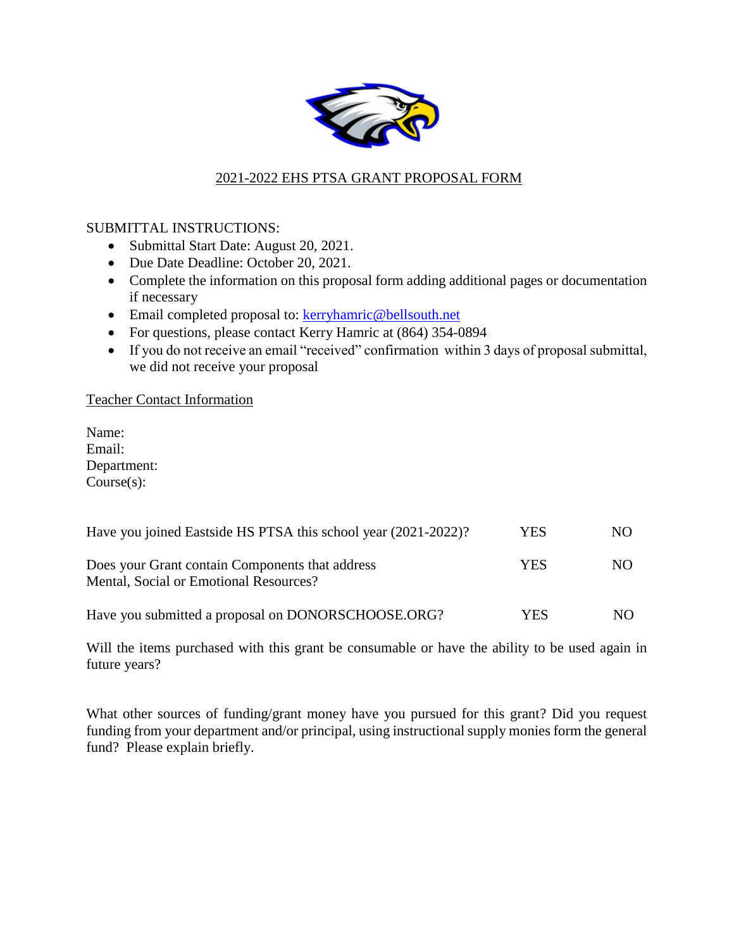

## 2021-2022 EHS PTSA GRANT PROPOSAL FORM

#### SUBMITTAL INSTRUCTIONS:

- Submittal Start Date: August 20, 2021.
- Due Date Deadline: October 20, 2021.
- Complete the information on this proposal form adding additional pages or documentation if necessary
- Email completed proposal to: [kerryhamric@bellsouth.net](mailto:kerryhamric@bellsouth.net)
- For questions, please contact Kerry Hamric at (864) 354-0894
- If you do not receive an email "received" confirmation within 3 days of proposal submittal, we did not receive your proposal

#### Teacher Contact Information

Name: Email: Department: Course(s):

| Have you joined Eastside HS PTSA this school year (2021-2022)?                            | YES | NO. |
|-------------------------------------------------------------------------------------------|-----|-----|
| Does your Grant contain Components that address<br>Mental, Social or Emotional Resources? | YES | NO. |
| Have you submitted a proposal on DONORSCHOOSE.ORG?                                        | YES | NO. |

Will the items purchased with this grant be consumable or have the ability to be used again in future years?

What other sources of funding/grant money have you pursued for this grant? Did you request funding from your department and/or principal, using instructional supply monies form the general fund? Please explain briefly.